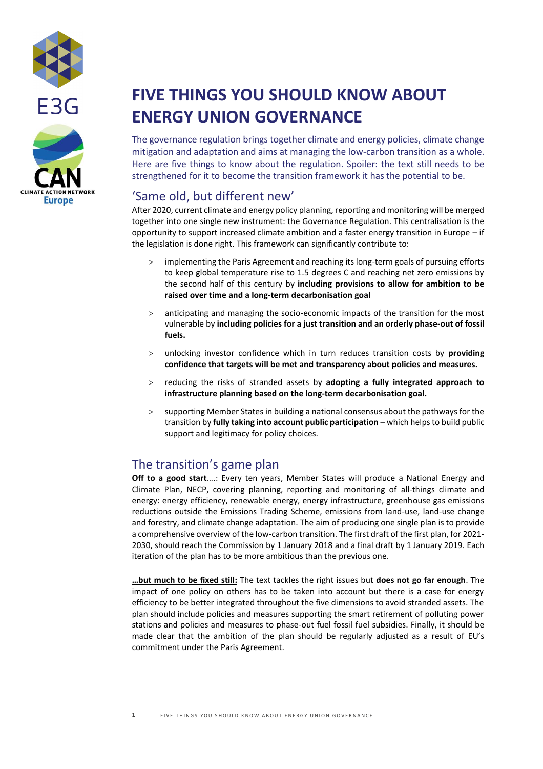



# **FIVE THINGS YOU SHOULD KNOW ABOUT ENERGY UNION GOVERNANCE**

The governance regulation brings together climate and energy policies, climate change mitigation and adaptation and aims at managing the low-carbon transition as a whole. Here are five things to know about the regulation. Spoiler: the text still needs to be strengthened for it to become the transition framework it has the potential to be.

## 'Same old, but different new'

After 2020, current climate and energy policy planning, reporting and monitoring will be merged together into one single new instrument: the Governance Regulation. This centralisation is the opportunity to support increased climate ambition and a faster energy transition in Europe – if the legislation is done right. This framework can significantly contribute to:

- implementing the Paris Agreement and reaching its long-term goals of pursuing efforts to keep global temperature rise to 1.5 degrees C and reaching net zero emissions by the second half of this century by **including provisions to allow for ambition to be raised over time and a long-term decarbonisation goal**
- anticipating and managing the socio-economic impacts of the transition for the most vulnerable by **including policies for a just transition and an orderly phase-out of fossil fuels.**
- unlocking investor confidence which in turn reduces transition costs by **providing confidence that targets will be met and transparency about policies and measures.**
- reducing the risks of stranded assets by **adopting a fully integrated approach to infrastructure planning based on the long-term decarbonisation goal.**
- supporting Member States in building a national consensus about the pathways for the transition by **fully taking into account public participation** – which helps to build public support and legitimacy for policy choices.

# The transition's game plan

**Off to a good start**….: Every ten years, Member States will produce a National Energy and Climate Plan, NECP, covering planning, reporting and monitoring of all-things climate and energy: energy efficiency, renewable energy, energy infrastructure, greenhouse gas emissions reductions outside the Emissions Trading Scheme, emissions from land-use, land-use change and forestry, and climate change adaptation. The aim of producing one single plan is to provide a comprehensive overview of the low-carbon transition. The first draft of the first plan, for 2021- 2030, should reach the Commission by 1 January 2018 and a final draft by 1 January 2019. Each iteration of the plan has to be more ambitious than the previous one.

**…but much to be fixed still:** The text tackles the right issues but **does not go far enough**. The impact of one policy on others has to be taken into account but there is a case for energy efficiency to be better integrated throughout the five dimensions to avoid stranded assets. The plan should include policies and measures supporting the smart retirement of polluting power stations and policies and measures to phase-out fuel fossil fuel subsidies. Finally, it should be made clear that the ambition of the plan should be regularly adjusted as a result of EU's commitment under the Paris Agreement.